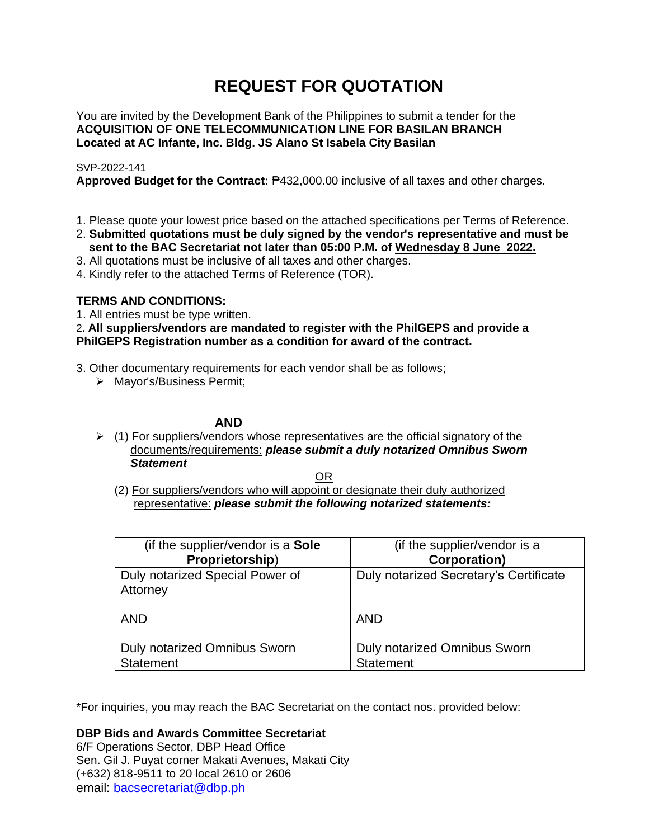# **REQUEST FOR QUOTATION**

You are invited by the Development Bank of the Philippines to submit a tender for the **ACQUISITION OF ONE TELECOMMUNICATION LINE FOR BASILAN BRANCH Located at AC Infante, Inc. Bldg. JS Alano St Isabela City Basilan**

# SVP-2022-141

**Approved Budget for the Contract:** ₱432,000.00 inclusive of all taxes and other charges.

- 1. Please quote your lowest price based on the attached specifications per Terms of Reference.
- 2. **Submitted quotations must be duly signed by the vendor's representative and must be sent to the BAC Secretariat not later than 05:00 P.M. of Wednesday 8 June 2022.**
- 3. All quotations must be inclusive of all taxes and other charges.
- 4. Kindly refer to the attached Terms of Reference (TOR).

# **TERMS AND CONDITIONS:**

1. All entries must be type written.

# 2**. All suppliers/vendors are mandated to register with the PhilGEPS and provide a PhilGEPS Registration number as a condition for award of the contract.**

- 3. Other documentary requirements for each vendor shall be as follows;
	- ➢ Mayor's/Business Permit;

# **AND**

 $\geq$  (1) For suppliers/vendors whose representatives are the official signatory of the documents/requirements: *please submit a duly notarized Omnibus Sworn Statement*

<u>OR Starting and the Starting OR Starting</u>

(2) For suppliers/vendors who will appoint or designate their duly authorized representative: *please submit the following notarized statements:*

| (if the supplier/vendor is a Sole                       | (if the supplier/vendor is a                            |
|---------------------------------------------------------|---------------------------------------------------------|
| Proprietorship)                                         | Corporation)                                            |
| Duly notarized Special Power of<br>Attorney             | Duly notarized Secretary's Certificate                  |
| <b>AND</b>                                              | <b>AND</b>                                              |
| <b>Duly notarized Omnibus Sworn</b><br><b>Statement</b> | <b>Duly notarized Omnibus Sworn</b><br><b>Statement</b> |

\*For inquiries, you may reach the BAC Secretariat on the contact nos. provided below:

**DBP Bids and Awards Committee Secretariat** 

6/F Operations Sector, DBP Head Office Sen. Gil J. Puyat corner Makati Avenues, Makati City (+632) 818-9511 to 20 local 2610 or 2606 email: [bacsecretariat@dbp.ph](mailto:bacsecretariat@dbp.ph)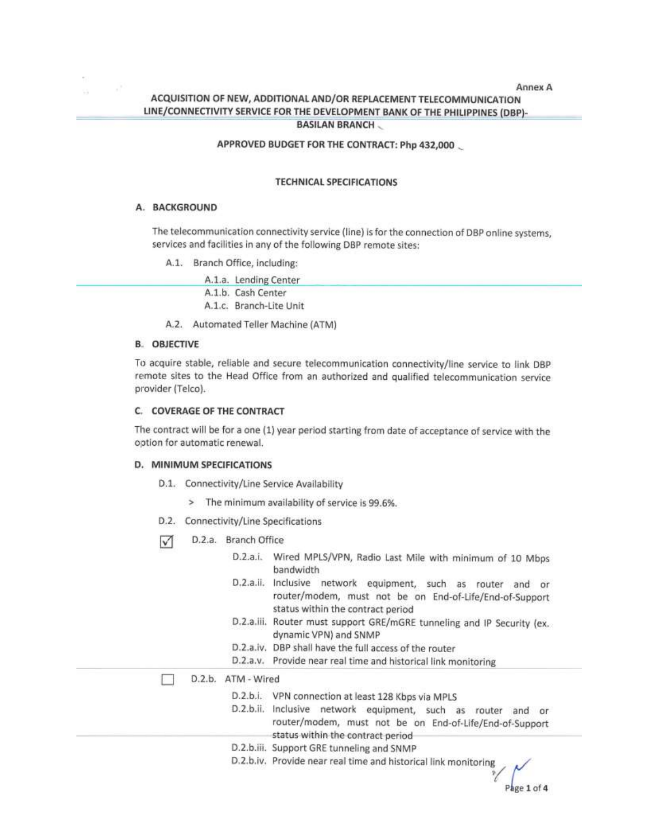## Annex A ACQUISITION OF NEW, ADDITIONAL AND/OR REPLACEMENT TELECOMMUNICATION LINE/CONNECTIVITY SERVICE FOR THE DEVELOPMENT BANK OF THE PHILIPPINES (DBP)-**BASILAN BRANCH ...**

## APPROVED BUDGET FOR THE CONTRACT: Php 432,000

#### **TECHNICAL SPECIFICATIONS**

#### A. BACKGROUND

The telecommunication connectivity service (line) is for the connection of DBP online systems, services and facilities in any of the following DBP remote sites:

A.1. Branch Office, including:

| A.1.a. Lending Center   |
|-------------------------|
| A.1.b. Cash Center      |
| A.1.c. Branch-Lite Unit |

A.2. Automated Teller Machine (ATM)

#### **B. OBJECTIVE**

To acquire stable, reliable and secure telecommunication connectivity/line service to link DBP remote sites to the Head Office from an authorized and qualified telecommunication service provider (Telco).

#### C. COVERAGE OF THE CONTRACT

The contract will be for a one (1) year period starting from date of acceptance of service with the option for automatic renewal.

#### D. MINIMUM SPECIFICATIONS

- D.1. Connectivity/Line Service Availability
	- > The minimum availability of service is 99.6%.
- D.2. Connectivity/Line Specifications

 $\triangledown$ D.2.a. Branch Office

| D.2.a.i.<br>Wired MPLS/VPN, Radio Last Mile with minimum of 10 Mbps<br>bandwidth                                                                                      |
|-----------------------------------------------------------------------------------------------------------------------------------------------------------------------|
| D.2.a.ii.<br>Inclusive<br>network equipment, such as router<br>and or<br>router/modem, must not be on End-of-Life/End-of-Support<br>status within the contract period |
| Router must support GRE/mGRE tunneling and IP Security (ex.<br>D.2.a.III.<br>dynamic VPN) and SNMP                                                                    |
| D.2.a.iv. DBP shall have the full access of the router                                                                                                                |
| D.2.a.v. Provide near real time and historical link monitoring                                                                                                        |
| ATM - Wired                                                                                                                                                           |
| D.2.b.i. VPN connection at least 128 Kbps via MPLS                                                                                                                    |
| D.2.b.ii. Inclusive network equipment, such as router<br>and or<br>router/modem, must not be on End-of-Life/End-of-Support<br>status within the contract period       |
| D.2.b.iii. Support GRE tunneling and SNMP                                                                                                                             |
| D.2.b.iv. Provide near real time and historical link monitoring                                                                                                       |
|                                                                                                                                                                       |

 $\int$ <sub>ige</sub> 1 of 4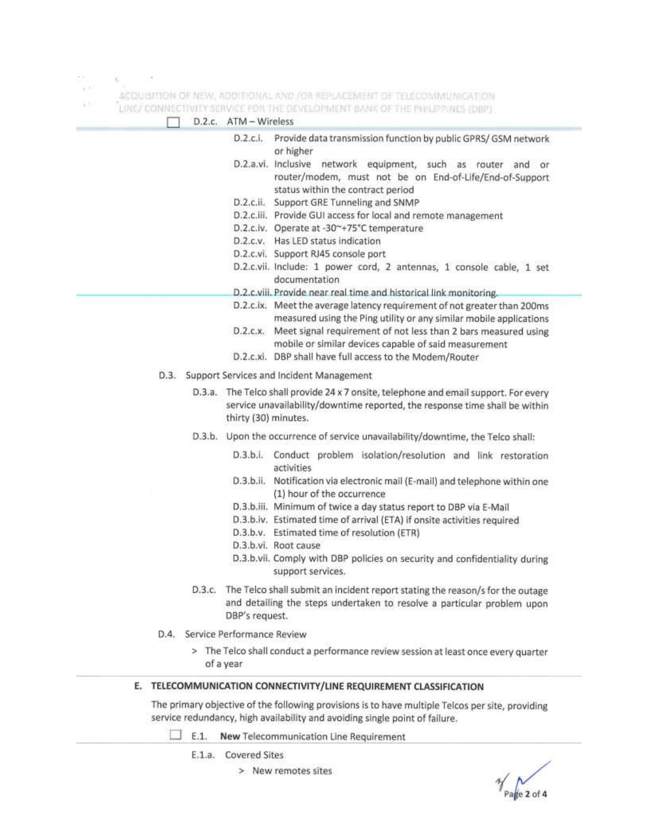$\mathcal{M}_{\gamma_{\mathcal{Q}}}$ COL.  $\mathbb{R}^{|\mathcal{S}|}$ 

ACQUISITION OF NEW, ADDITIONAL AND /OR REPLACEMENT OF TELECOMMUNICATION 900

LINE / COMMECTIVITY SERVICE FOR THE OEVELOPMENT RANK OF THE PHILIPPINES.

|        | A PRAIL MIRTAL BUSINE AIL LIST LIMING COURT PRINT.<br>D.2.c. ATM - Wireless                                                                                                                 |
|--------|---------------------------------------------------------------------------------------------------------------------------------------------------------------------------------------------|
|        | Provide data transmission function by public GPRS/ GSM network<br>D.2.c.1.<br>or higher                                                                                                     |
|        | D.2.a.vi. Inclusive network equipment, such as router and or<br>router/modem, must not be on End-of-Life/End-of-Support<br>status within the contract period                                |
|        | D.2.c.ii. Support GRE Tunneling and SNMP                                                                                                                                                    |
|        | D.2.c.iii. Provide GUI access for local and remote management                                                                                                                               |
|        | D.2.c.iv. Operate at -30~+75°C temperature                                                                                                                                                  |
|        | D.2.c.v. Has LED status indication                                                                                                                                                          |
|        | D.2.c.vi. Support RJ45 console port                                                                                                                                                         |
|        | D.2.c.vii. Include: 1 power cord, 2 antennas, 1 console cable, 1 set<br>documentation                                                                                                       |
|        | D.2.c.viii. Provide near real time and historical link monitoring.                                                                                                                          |
|        | D.2.c.ix. Meet the average latency requirement of not greater than 200ms<br>measured using the Ping utility or any similar mobile applications                                              |
|        | D.2.c.x. Meet signal requirement of not less than 2 bars measured using<br>mobile or similar devices capable of said measurement                                                            |
|        | D.2.c.xi. DBP shall have full access to the Modem/Router                                                                                                                                    |
|        | D.3. Support Services and Incident Management                                                                                                                                               |
|        | D.3.a. The Telco shall provide 24 x 7 onsite, telephone and email support. For every<br>service unavailability/downtime reported, the response time shall be within<br>thirty (30) minutes. |
|        | D.3.b. Upon the occurrence of service unavailability/downtime, the Telco shall:                                                                                                             |
|        | D.3.b.i. Conduct problem isolation/resolution and link restoration<br>activities                                                                                                            |
|        | D.3.b.ii. Notification via electronic mail (E-mail) and telephone within one<br>(1) hour of the occurrence                                                                                  |
|        | D.3.b.iii. Minimum of twice a day status report to DBP via E-Mail                                                                                                                           |
|        | D.3.b.iv. Estimated time of arrival (ETA) if onsite activities required                                                                                                                     |
|        | D.3.b.v. Estimated time of resolution (ETR)                                                                                                                                                 |
|        | D.3.b.vi. Root cause                                                                                                                                                                        |
|        | D.3.b.vii. Comply with DBP policies on security and confidentiality during<br>support services.                                                                                             |
| D.3.c. | The Telco shall submit an incident report stating the reason/s for the outage<br>and detailing the steps undertaken to resolve a particular problem upon<br>DBP's request.                  |

- D.4. Service Performance Review
	- > The Telco shall conduct a performance review session at least once every quarter of a year

## E. TELECOMMUNICATION CONNECTIVITY/LINE REQUIREMENT CLASSIFICATION

The primary objective of the following provisions is to have multiple Telcos per site, providing service redundancy, high availability and avoiding single point of failure.

E.1. New Telecommunication Line Requirement

E.1.a. Covered Sites

> New remotes sites

Page 2 of 4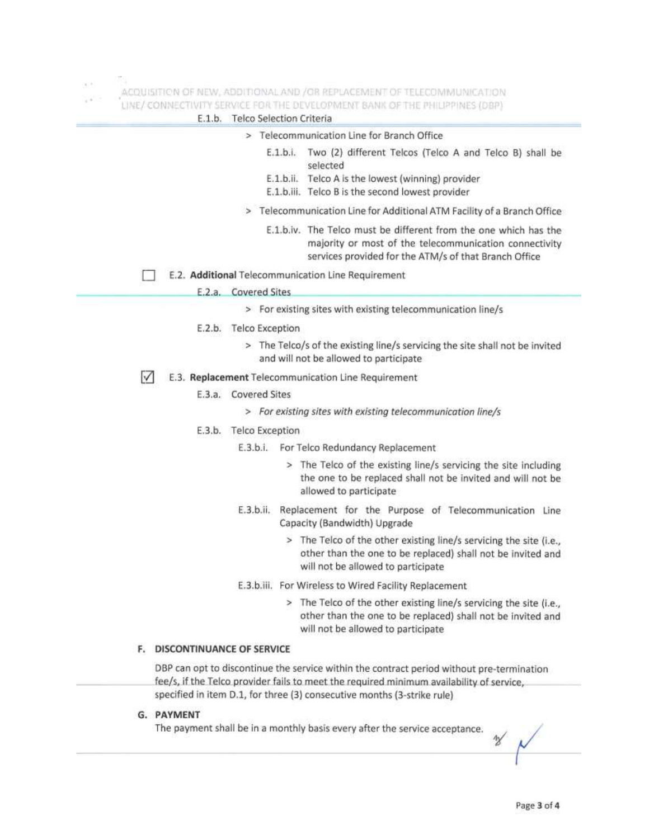$\frac{1}{2}$ 

 $\mathcal{O}(\mathcal{Q})$ 

ACQUISITION OF NEW, ADDITIONAL AND / OR REPLACEMENT OF TELECOMMUNICATION

| E.1.b.                          | LINE/ CONNECTIVITY SERVICE FOR THE DEVELOPMENT BANK OF THE PHILIPPINES (DBP)<br>Telco Selection Criteria                                                                                        |
|---------------------------------|-------------------------------------------------------------------------------------------------------------------------------------------------------------------------------------------------|
|                                 | > Telecommunication Line for Branch Office                                                                                                                                                      |
|                                 | Two (2) different Telcos (Telco A and Telco B) shall be<br>E.1.b.i.<br>selected<br>$E.1.b.$ ii.<br>Telco A is the lowest (winning) provider<br>E.1.b.iii. Telco B is the second lowest provider |
|                                 | > Telecommunication Line for Additional ATM Facility of a Branch Office                                                                                                                         |
|                                 | E.1.b.iv. The Telco must be different from the one which has the<br>majority or most of the telecommunication connectivity<br>services provided for the ATM/s of that Branch Office             |
|                                 | E.2. Additional Telecommunication Line Requirement                                                                                                                                              |
|                                 | E.2.a. Covered Sites                                                                                                                                                                            |
|                                 | > For existing sites with existing telecommunication line/s                                                                                                                                     |
|                                 | E.2.b. Telco Exception                                                                                                                                                                          |
|                                 | > The Telco/s of the existing line/s servicing the site shall not be invited<br>and will not be allowed to participate                                                                          |
| M                               | E.3. Replacement Telecommunication Line Requirement                                                                                                                                             |
| E.3.a.                          | <b>Covered Sites</b>                                                                                                                                                                            |
|                                 | > For existing sites with existing telecommunication line/s                                                                                                                                     |
|                                 | E.3.b. Telco Exception                                                                                                                                                                          |
|                                 | For Telco Redundancy Replacement<br>E.3.b.i.                                                                                                                                                    |
|                                 | > The Telco of the existing line/s servicing the site including<br>the one to be replaced shall not be invited and will not be<br>allowed to participate                                        |
|                                 | E.3.b.ii.<br>Replacement for the Purpose of Telecommunication Line<br>Capacity (Bandwidth) Upgrade                                                                                              |
|                                 | > The Telco of the other existing line/s servicing the site (i.e.,<br>other than the one to be replaced) shall not be invited and<br>will not be allowed to participate                         |
|                                 | E.3.b.iii. For Wireless to Wired Facility Replacement                                                                                                                                           |
|                                 | > The Telco of the other existing line/s servicing the site (i.e.,<br>other than the one to be replaced) shall not be invited and<br>will not be allowed to participate                         |
| DISCONTINUANCE OF SERVICE<br>F. |                                                                                                                                                                                                 |
|                                 | DBP can opt to discontinue the service within the contract period without pre-termination<br>fee/s, if the Telco provider fails to meet the required minimum availability of service,           |

specified in item D.1, for three (3) consecutive months (3-strike rule)

## G. PAYMENT

The payment shall be in a monthly basis every after the service acceptance.

 $\mathcal{U}$